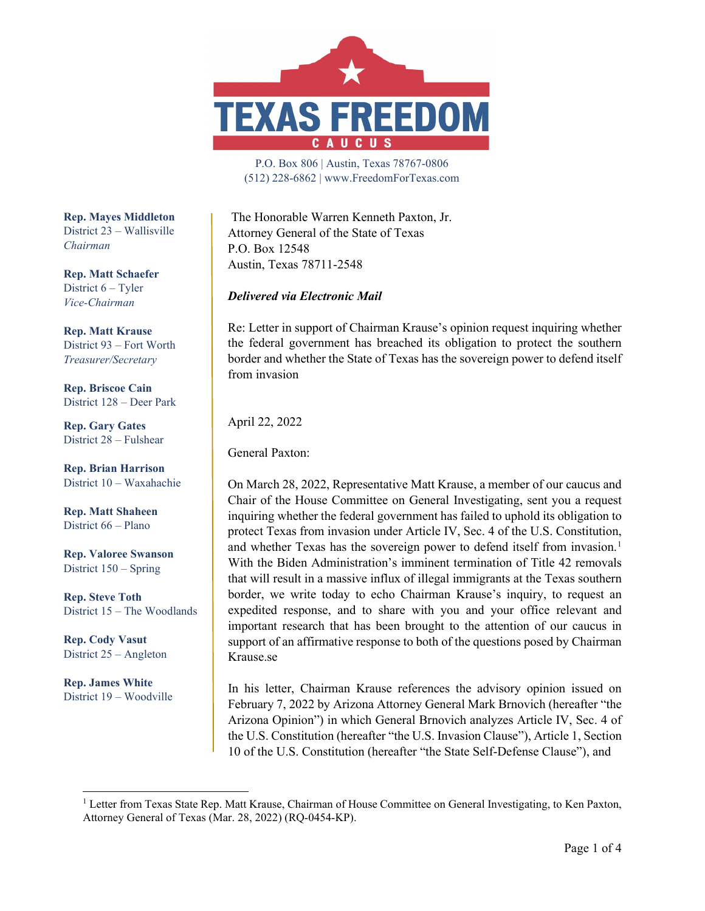

P.O. Box 806 | Austin, Texas 78767-0806 (512) 228-6862 | www.FreedomForTexas.com

The Honorable Warren Kenneth Paxton, Jr. Attorney General of the State of Texas P.O. Box 12548 Austin, Texas 78711-2548

## *Delivered via Electronic Mail*

Re: Letter in support of Chairman Krause's opinion request inquiring whether the federal government has breached its obligation to protect the southern border and whether the State of Texas has the sovereign power to defend itself from invasion

April 22, 2022

General Paxton:

On March 28, 2022, Representative Matt Krause, a member of our caucus and Chair of the House Committee on General Investigating, sent you a request inquiring whether the federal government has failed to uphold its obligation to protect Texas from invasion under Article IV, Sec. 4 of the U.S. Constitution, and whether Texas has the sovereign power to defend itself from invasion.<sup>[1](#page-0-0)</sup> With the Biden Administration's imminent termination of Title 42 removals that will result in a massive influx of illegal immigrants at the Texas southern border, we write today to echo Chairman Krause's inquiry, to request an expedited response, and to share with you and your office relevant and important research that has been brought to the attention of our caucus in support of an affirmative response to both of the questions posed by Chairman Krause.se

In his letter, Chairman Krause references the advisory opinion issued on February 7, 2022 by Arizona Attorney General Mark Brnovich (hereafter "the Arizona Opinion") in which General Brnovich analyzes Article IV, Sec. 4 of the U.S. Constitution (hereafter "the U.S. Invasion Clause"), Article 1, Section 10 of the U.S. Constitution (hereafter "the State Self-Defense Clause"), and

**Rep. Mayes Middleton** District 23 – Wallisville *Chairman*

**Rep. Matt Schaefer** District 6 – Tyler *Vice-Chairman*

**Rep. Matt Krause** District 93 – Fort Worth *Treasurer/Secretary*

**Rep. Briscoe Cain** District 128 – Deer Park

**Rep. Gary Gates** District 28 – Fulshear

**Rep. Brian Harrison** District 10 – Waxahachie

**Rep. Matt Shaheen** District 66 – Plano

**Rep. Valoree Swanson** District 150 – Spring

**Rep. Steve Toth** District 15 – The Woodlands

**Rep. Cody Vasut** District 25 – Angleton

**Rep. James White** District 19 – Woodville

<span id="page-0-0"></span><sup>&</sup>lt;sup>1</sup> Letter from Texas State Rep. Matt Krause, Chairman of House Committee on General Investigating, to Ken Paxton, Attorney General of Texas (Mar. 28, 2022) (RQ-0454-KP).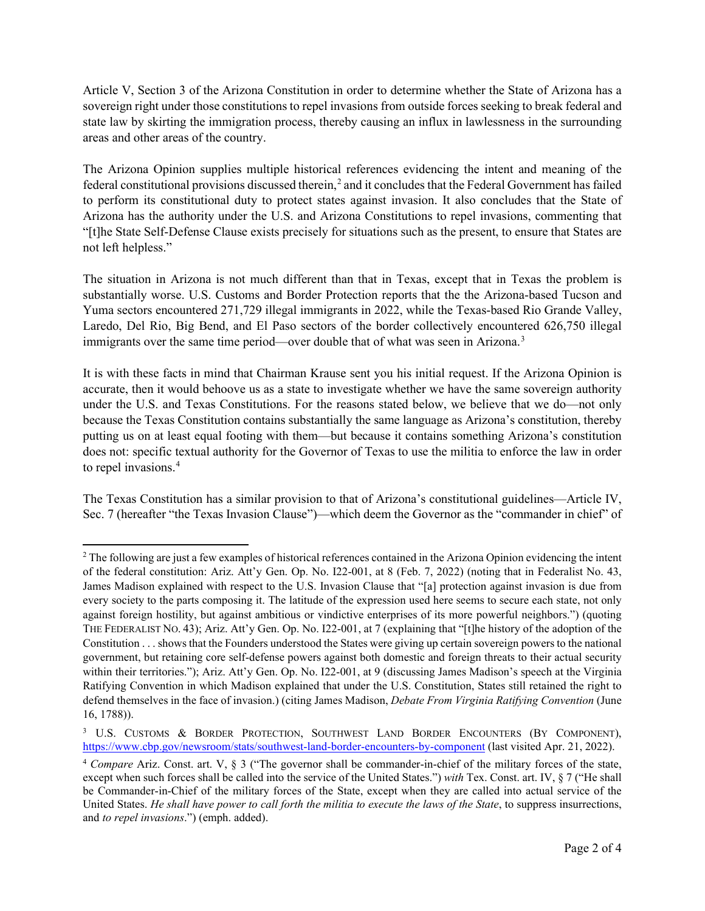Article V, Section 3 of the Arizona Constitution in order to determine whether the State of Arizona has a sovereign right under those constitutions to repel invasions from outside forces seeking to break federal and state law by skirting the immigration process, thereby causing an influx in lawlessness in the surrounding areas and other areas of the country.

The Arizona Opinion supplies multiple historical references evidencing the intent and meaning of the federal constitutional provisions discussed therein,<sup>[2](#page-1-0)</sup> and it concludes that the Federal Government has failed to perform its constitutional duty to protect states against invasion. It also concludes that the State of Arizona has the authority under the U.S. and Arizona Constitutions to repel invasions, commenting that "[t]he State Self-Defense Clause exists precisely for situations such as the present, to ensure that States are not left helpless."

The situation in Arizona is not much different than that in Texas, except that in Texas the problem is substantially worse. U.S. Customs and Border Protection reports that the the Arizona-based Tucson and Yuma sectors encountered 271,729 illegal immigrants in 2022, while the Texas-based Rio Grande Valley, Laredo, Del Rio, Big Bend, and El Paso sectors of the border collectively encountered 626,750 illegal immigrants over the same time period—over double that of what was seen in Arizona.<sup>[3](#page-1-1)</sup>

It is with these facts in mind that Chairman Krause sent you his initial request. If the Arizona Opinion is accurate, then it would behoove us as a state to investigate whether we have the same sovereign authority under the U.S. and Texas Constitutions. For the reasons stated below, we believe that we do—not only because the Texas Constitution contains substantially the same language as Arizona's constitution, thereby putting us on at least equal footing with them—but because it contains something Arizona's constitution does not: specific textual authority for the Governor of Texas to use the militia to enforce the law in order to repel invasions.<sup>[4](#page-1-2)</sup>

The Texas Constitution has a similar provision to that of Arizona's constitutional guidelines—Article IV, Sec. 7 (hereafter "the Texas Invasion Clause")—which deem the Governor as the "commander in chief" of

<span id="page-1-0"></span><sup>&</sup>lt;sup>2</sup> The following are just a few examples of historical references contained in the Arizona Opinion evidencing the intent of the federal constitution: Ariz. Att'y Gen. Op. No. I22-001, at 8 (Feb. 7, 2022) (noting that in Federalist No. 43, James Madison explained with respect to the U.S. Invasion Clause that "[a] protection against invasion is due from every society to the parts composing it. The latitude of the expression used here seems to secure each state, not only against foreign hostility, but against ambitious or vindictive enterprises of its more powerful neighbors.") (quoting THE FEDERALIST NO. 43); Ariz. Att'y Gen. Op. No. I22-001, at 7 (explaining that "[t]he history of the adoption of the Constitution . . . shows that the Founders understood the States were giving up certain sovereign powers to the national government, but retaining core self-defense powers against both domestic and foreign threats to their actual security within their territories."); Ariz. Att'y Gen. Op. No. I22-001, at 9 (discussing James Madison's speech at the Virginia Ratifying Convention in which Madison explained that under the U.S. Constitution, States still retained the right to defend themselves in the face of invasion.) (citing James Madison, *Debate From Virginia Ratifying Convention* (June 16, 1788)).

<span id="page-1-1"></span><sup>3</sup> U.S. CUSTOMS & BORDER PROTECTION, SOUTHWEST LAND BORDER ENCOUNTERS (BY COMPONENT), <https://www.cbp.gov/newsroom/stats/southwest-land-border-encounters-by-component> (last visited Apr. 21, 2022).

<span id="page-1-2"></span><sup>4</sup> *Compare* Ariz. Const. art. V, § 3 ("The governor shall be commander-in-chief of the military forces of the state, except when such forces shall be called into the service of the United States.") *with* Tex. Const. art. IV, § 7 ("He shall be Commander-in-Chief of the military forces of the State, except when they are called into actual service of the United States. *He shall have power to call forth the militia to execute the laws of the State*, to suppress insurrections, and *to repel invasions*.") (emph. added).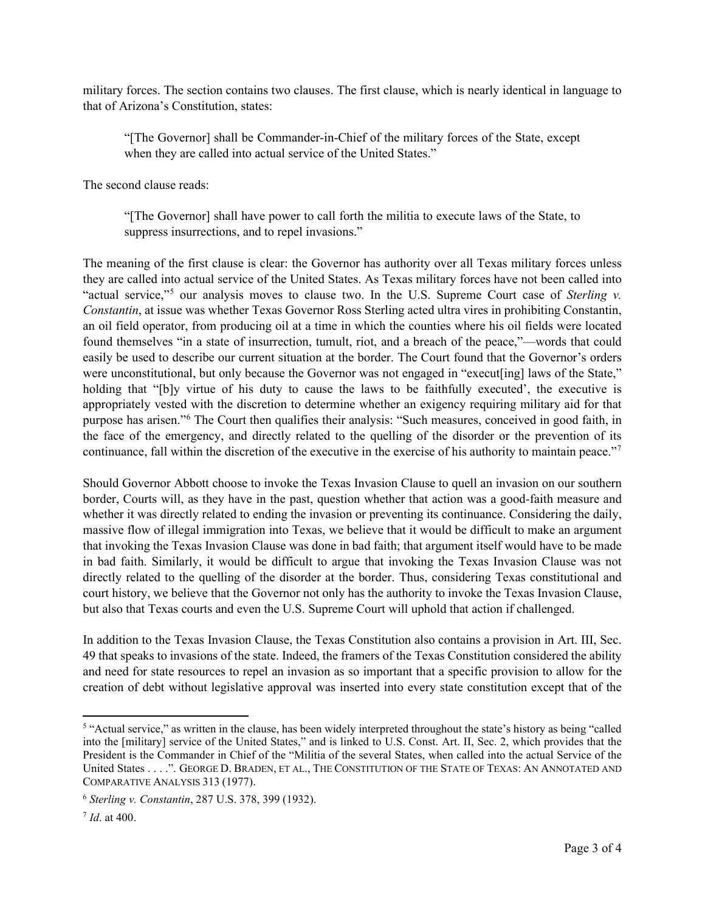military forces. The section contains two clauses. The first clause, which is nearly identical in language to that of Arizona's Constitution, states:

"[The Governor] shall be Commander-in-Chief of the military forces of the State, except when they are called into actual service of the United States."

The second clause reads:

"[The Governor] shall have power to call forth the militia to execute laws of the State, to suppress insurrections, and to repel invasions."

The meaning of the first clause is clear: the Governor has authority over all Texas military forces unless they are called into actual service of the United States. As Texas military forces have not been called into "actual service,"[5](#page-2-0) our analysis moves to clause two. In the U.S. Supreme Court case of *Sterling v. Constantin*, at issue was whether Texas Governor Ross Sterling acted ultra vires in prohibiting Constantin, an oil field operator, from producing oil at a time in which the counties where his oil fields were located found themselves "in a state of insurrection, tumult, riot, and a breach of the peace,"—words that could easily be used to describe our current situation at the border. The Court found that the Governor's orders were unconstitutional, but only because the Governor was not engaged in "execut[ing] laws of the State," holding that "[b]y virtue of his duty to cause the laws to be faithfully executed', the executive is appropriately vested with the discretion to determine whether an exigency requiring military aid for that purpose has arisen."[6](#page-2-1) The Court then qualifies their analysis: "Such measures, conceived in good faith, in the face of the emergency, and directly related to the quelling of the disorder or the prevention of its continuance, fall within the discretion of the executive in the exercise of his authority to maintain peace."<sup>[7](#page-2-2)</sup>

Should Governor Abbott choose to invoke the Texas Invasion Clause to quell an invasion on our southern border, Courts will, as they have in the past, question whether that action was a good-faith measure and whether it was directly related to ending the invasion or preventing its continuance. Considering the daily, massive flow of illegal immigration into Texas, we believe that it would be difficult to make an argument that invoking the Texas Invasion Clause was done in bad faith; that argument itself would have to be made in bad faith. Similarly, it would be difficult to argue that invoking the Texas Invasion Clause was not directly related to the quelling of the disorder at the border. Thus, considering Texas constitutional and court history, we believe that the Governor not only has the authority to invoke the Texas Invasion Clause, but also that Texas courts and even the U.S. Supreme Court will uphold that action if challenged.

In addition to the Texas Invasion Clause, the Texas Constitution also contains a provision in Art. III, Sec. 49 that speaks to invasions of the state. Indeed, the framers of the Texas Constitution considered the ability and need for state resources to repel an invasion as so important that a specific provision to allow for the creation of debt without legislative approval was inserted into every state constitution except that of the

<span id="page-2-0"></span><sup>&</sup>lt;sup>5</sup> "Actual service," as written in the clause, has been widely interpreted throughout the state's history as being "called into the [military] service of the United States," and is linked to U.S. Const. Art. II, Sec. 2, which provides that the President is the Commander in Chief of the "Militia of the several States, when called into the actual Service of the United States . . . .". GEORGE D. BRADEN, ET AL., THE CONSTITUTION OF THE STATE OF TEXAS: AN ANNOTATED AND COMPARATIVE ANALYSIS 313 (1977).

<span id="page-2-1"></span><sup>6</sup> *Sterling v. Constantin*, 287 U.S. 378, 399 (1932).

<span id="page-2-2"></span><sup>7</sup> *Id*. at 400.